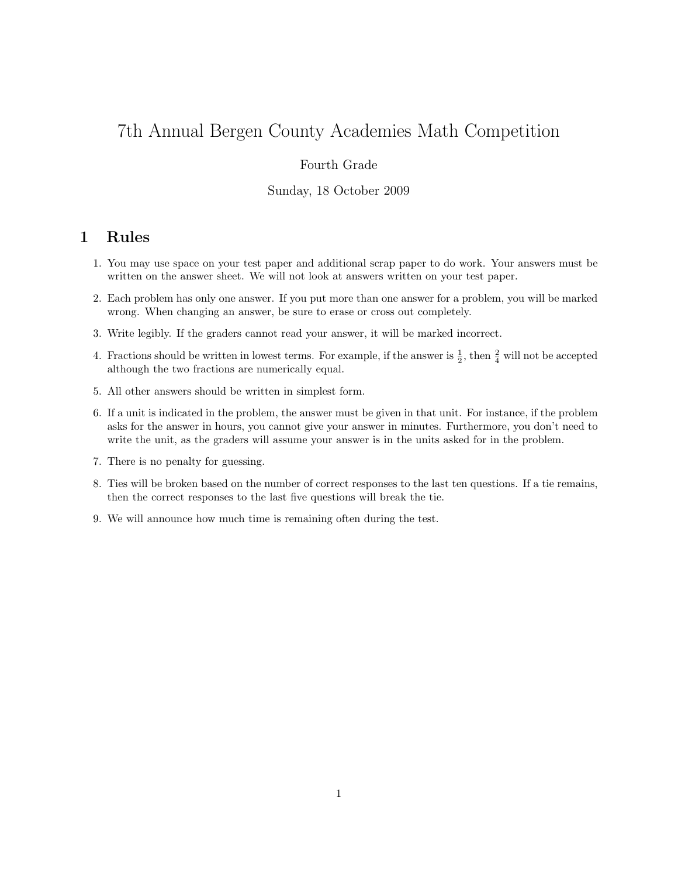# 7th Annual Bergen County Academies Math Competition

### Fourth Grade

#### Sunday, 18 October 2009

## 1 Rules

- 1. You may use space on your test paper and additional scrap paper to do work. Your answers must be written on the answer sheet. We will not look at answers written on your test paper.
- 2. Each problem has only one answer. If you put more than one answer for a problem, you will be marked wrong. When changing an answer, be sure to erase or cross out completely.
- 3. Write legibly. If the graders cannot read your answer, it will be marked incorrect.
- 4. Fractions should be written in lowest terms. For example, if the answer is  $\frac{1}{2}$ , then  $\frac{2}{4}$  will not be accepted although the two fractions are numerically equal.
- 5. All other answers should be written in simplest form.
- 6. If a unit is indicated in the problem, the answer must be given in that unit. For instance, if the problem asks for the answer in hours, you cannot give your answer in minutes. Furthermore, you don't need to write the unit, as the graders will assume your answer is in the units asked for in the problem.
- 7. There is no penalty for guessing.
- 8. Ties will be broken based on the number of correct responses to the last ten questions. If a tie remains, then the correct responses to the last five questions will break the tie.
- 9. We will announce how much time is remaining often during the test.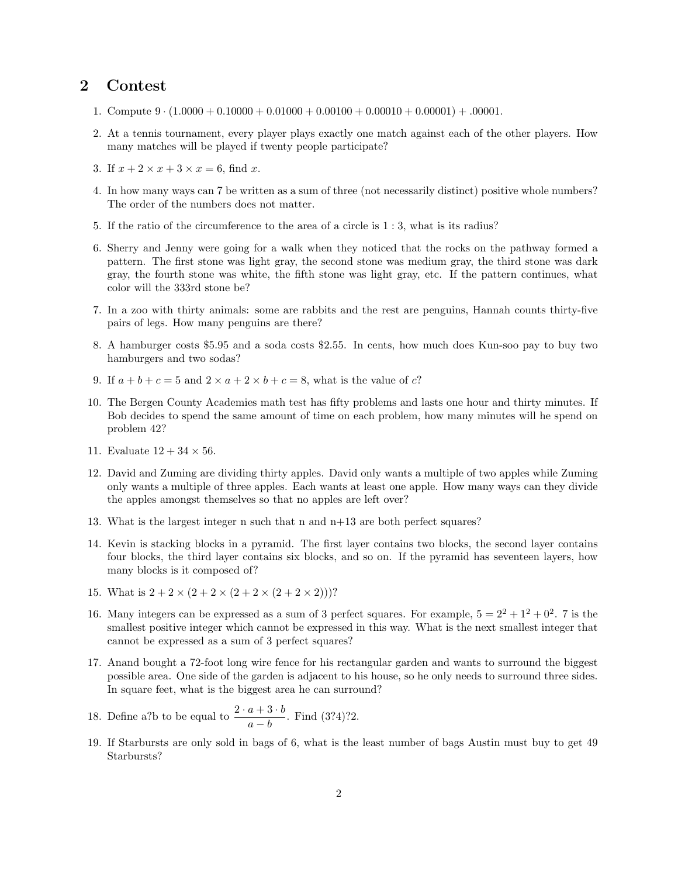### 2 Contest

- 1. Compute  $9 \cdot (1.0000 + 0.10000 + 0.01000 + 0.00100 + 0.00010 + 0.00001) + 0.0001$ .
- 2. At a tennis tournament, every player plays exactly one match against each of the other players. How many matches will be played if twenty people participate?
- 3. If  $x + 2 \times x + 3 \times x = 6$ , find x.
- 4. In how many ways can 7 be written as a sum of three (not necessarily distinct) positive whole numbers? The order of the numbers does not matter.
- 5. If the ratio of the circumference to the area of a circle is 1 : 3, what is its radius?
- 6. Sherry and Jenny were going for a walk when they noticed that the rocks on the pathway formed a pattern. The first stone was light gray, the second stone was medium gray, the third stone was dark gray, the fourth stone was white, the fifth stone was light gray, etc. If the pattern continues, what color will the 333rd stone be?
- 7. In a zoo with thirty animals: some are rabbits and the rest are penguins, Hannah counts thirty-five pairs of legs. How many penguins are there?
- 8. A hamburger costs \$5.95 and a soda costs \$2.55. In cents, how much does Kun-soo pay to buy two hamburgers and two sodas?
- 9. If  $a + b + c = 5$  and  $2 \times a + 2 \times b + c = 8$ , what is the value of c?
- 10. The Bergen County Academies math test has fifty problems and lasts one hour and thirty minutes. If Bob decides to spend the same amount of time on each problem, how many minutes will he spend on problem 42?
- 11. Evaluate  $12 + 34 \times 56$ .
- 12. David and Zuming are dividing thirty apples. David only wants a multiple of two apples while Zuming only wants a multiple of three apples. Each wants at least one apple. How many ways can they divide the apples amongst themselves so that no apples are left over?
- 13. What is the largest integer n such that n and n+13 are both perfect squares?
- 14. Kevin is stacking blocks in a pyramid. The first layer contains two blocks, the second layer contains four blocks, the third layer contains six blocks, and so on. If the pyramid has seventeen layers, how many blocks is it composed of?
- 15. What is  $2 + 2 \times (2 + 2 \times (2 + 2 \times (2 + 2 \times 2)))$ ?
- 16. Many integers can be expressed as a sum of 3 perfect squares. For example,  $5 = 2^2 + 1^2 + 0^2$ . 7 is the smallest positive integer which cannot be expressed in this way. What is the next smallest integer that cannot be expressed as a sum of 3 perfect squares?
- 17. Anand bought a 72-foot long wire fence for his rectangular garden and wants to surround the biggest possible area. One side of the garden is adjacent to his house, so he only needs to surround three sides. In square feet, what is the biggest area he can surround?
- 18. Define a?b to be equal to  $\frac{2 \cdot a + 3 \cdot b}{a b}$ . Find (3?4)?2.
- 19. If Starbursts are only sold in bags of 6, what is the least number of bags Austin must buy to get 49 Starbursts?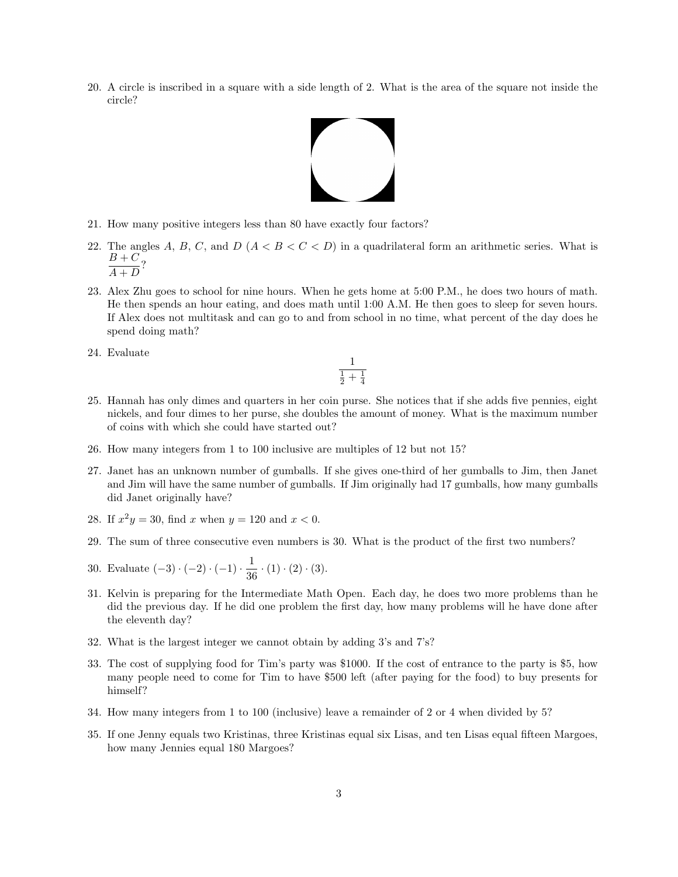20. A circle is inscribed in a square with a side length of 2. What is the area of the square not inside the circle?



- 21. How many positive integers less than 80 have exactly four factors?
- 22. The angles A, B, C, and D  $(A < B < C < D)$  in a quadrilateral form an arithmetic series. What is  $B+C$  $\frac{D}{A+D}$ ?
- 23. Alex Zhu goes to school for nine hours. When he gets home at 5:00 P.M., he does two hours of math. He then spends an hour eating, and does math until 1:00 A.M. He then goes to sleep for seven hours. If Alex does not multitask and can go to and from school in no time, what percent of the day does he spend doing math?
- 24. Evaluate

$$
\frac{1}{\frac{1}{2}+\frac{1}{4}}
$$

- 25. Hannah has only dimes and quarters in her coin purse. She notices that if she adds five pennies, eight nickels, and four dimes to her purse, she doubles the amount of money. What is the maximum number of coins with which she could have started out?
- 26. How many integers from 1 to 100 inclusive are multiples of 12 but not 15?
- 27. Janet has an unknown number of gumballs. If she gives one-third of her gumballs to Jim, then Janet and Jim will have the same number of gumballs. If Jim originally had 17 gumballs, how many gumballs did Janet originally have?
- 28. If  $x^2y = 30$ , find x when  $y = 120$  and  $x < 0$ .
- 29. The sum of three consecutive even numbers is 30. What is the product of the first two numbers?
- 30. Evaluate  $(-3) \cdot (-2) \cdot (-1) \cdot \frac{1}{20}$  $rac{1}{36} \cdot (1) \cdot (2) \cdot (3)$ .
- 31. Kelvin is preparing for the Intermediate Math Open. Each day, he does two more problems than he did the previous day. If he did one problem the first day, how many problems will he have done after the eleventh day?
- 32. What is the largest integer we cannot obtain by adding 3's and 7's?
- 33. The cost of supplying food for Tim's party was \$1000. If the cost of entrance to the party is \$5, how many people need to come for Tim to have \$500 left (after paying for the food) to buy presents for himself?
- 34. How many integers from 1 to 100 (inclusive) leave a remainder of 2 or 4 when divided by 5?
- 35. If one Jenny equals two Kristinas, three Kristinas equal six Lisas, and ten Lisas equal fifteen Margoes, how many Jennies equal 180 Margoes?